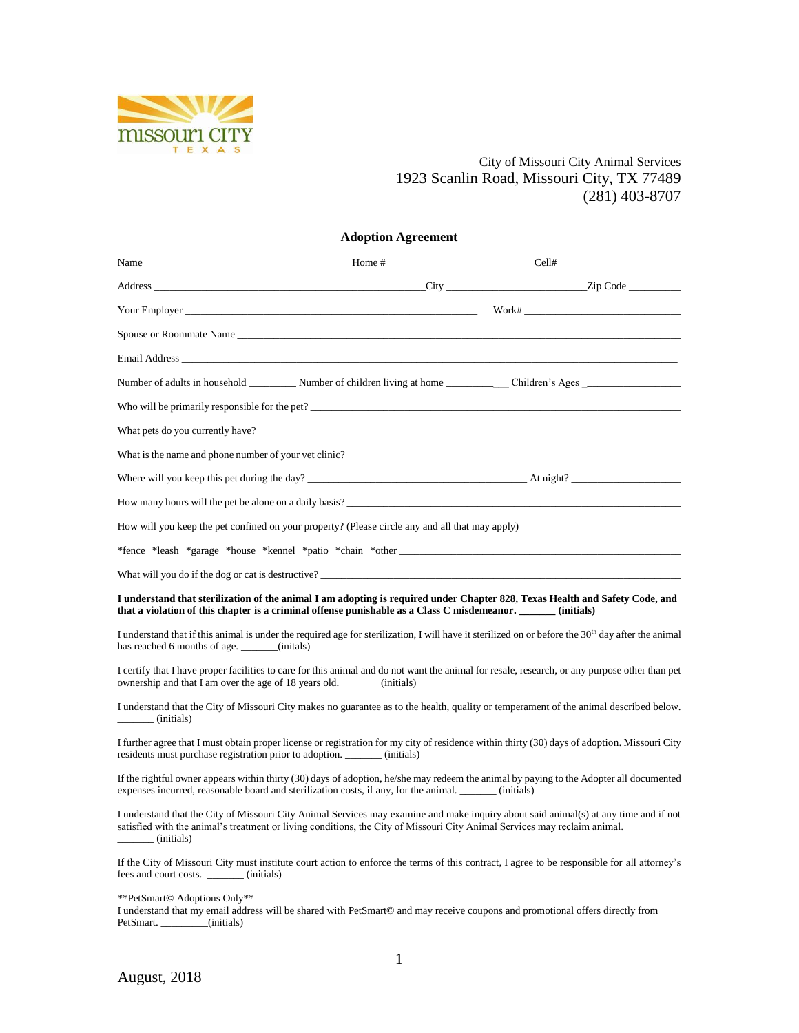

## City of Missouri City Animal Services 1923 Scanlin Road, Missouri City, TX 77489 (281) 403-8707

| <b>Adoption Agreement</b>                                                   |                                                                                                                           |                                                                                                                                                                                                                                                                                                                                             |  |  |  |
|-----------------------------------------------------------------------------|---------------------------------------------------------------------------------------------------------------------------|---------------------------------------------------------------------------------------------------------------------------------------------------------------------------------------------------------------------------------------------------------------------------------------------------------------------------------------------|--|--|--|
|                                                                             |                                                                                                                           | Name $\qquad \qquad$ $\qquad$ $\qquad$ $\qquad$ $\qquad$ $\qquad$ $\qquad$ $\qquad$ $\qquad$ $\qquad$ $\qquad$ $\qquad$ $\qquad$ $\qquad$ $\qquad$ $\qquad$ $\qquad$ $\qquad$ $\qquad$ $\qquad$ $\qquad$ $\qquad$ $\qquad$ $\qquad$ $\qquad$ $\qquad$ $\qquad$ $\qquad$ $\qquad$ $\qquad$ $\qquad$ $\qquad$ $\qquad$ $\qquad$ $\qquad$ $\q$ |  |  |  |
|                                                                             |                                                                                                                           |                                                                                                                                                                                                                                                                                                                                             |  |  |  |
|                                                                             |                                                                                                                           |                                                                                                                                                                                                                                                                                                                                             |  |  |  |
|                                                                             |                                                                                                                           |                                                                                                                                                                                                                                                                                                                                             |  |  |  |
|                                                                             |                                                                                                                           |                                                                                                                                                                                                                                                                                                                                             |  |  |  |
|                                                                             |                                                                                                                           |                                                                                                                                                                                                                                                                                                                                             |  |  |  |
|                                                                             |                                                                                                                           |                                                                                                                                                                                                                                                                                                                                             |  |  |  |
|                                                                             |                                                                                                                           |                                                                                                                                                                                                                                                                                                                                             |  |  |  |
|                                                                             |                                                                                                                           | What is the name and phone number of your vet clinic?                                                                                                                                                                                                                                                                                       |  |  |  |
|                                                                             |                                                                                                                           |                                                                                                                                                                                                                                                                                                                                             |  |  |  |
|                                                                             |                                                                                                                           |                                                                                                                                                                                                                                                                                                                                             |  |  |  |
|                                                                             | How will you keep the pet confined on your property? (Please circle any and all that may apply)                           |                                                                                                                                                                                                                                                                                                                                             |  |  |  |
|                                                                             |                                                                                                                           |                                                                                                                                                                                                                                                                                                                                             |  |  |  |
|                                                                             |                                                                                                                           |                                                                                                                                                                                                                                                                                                                                             |  |  |  |
|                                                                             | that a violation of this chapter is a criminal offense punishable as a Class C misdemeanor. _______ (initials)            | I understand that sterilization of the animal I am adopting is required under Chapter 828, Texas Health and Safety Code, and                                                                                                                                                                                                                |  |  |  |
| has reached 6 months of age. ______(initals)                                |                                                                                                                           | I understand that if this animal is under the required age for sterilization, I will have it sterilized on or before the 30 <sup>th</sup> day after the animal                                                                                                                                                                              |  |  |  |
| ownership and that I am over the age of 18 years old. _______ (initials)    |                                                                                                                           | I certify that I have proper facilities to care for this animal and do not want the animal for resale, research, or any purpose other than pet                                                                                                                                                                                              |  |  |  |
| (initials)                                                                  |                                                                                                                           | I understand that the City of Missouri City makes no guarantee as to the health, quality or temperament of the animal described below.                                                                                                                                                                                                      |  |  |  |
| residents must purchase registration prior to adoption. ________ (initials) |                                                                                                                           | I further agree that I must obtain proper license or registration for my city of residence within thirty (30) days of adoption. Missouri City                                                                                                                                                                                               |  |  |  |
|                                                                             | expenses incurred, reasonable board and sterilization costs, if any, for the animal. ________ (initials)                  | If the rightful owner appears within thirty (30) days of adoption, he/she may redeem the animal by paying to the Adopter all documented                                                                                                                                                                                                     |  |  |  |
| (initials)                                                                  | satisfied with the animal's treatment or living conditions, the City of Missouri City Animal Services may reclaim animal. | I understand that the City of Missouri City Animal Services may examine and make inquiry about said animal(s) at any time and if not                                                                                                                                                                                                        |  |  |  |
| fees and court costs. ________ (initials)                                   |                                                                                                                           | If the City of Missouri City must institute court action to enforce the terms of this contract, I agree to be responsible for all attorney's                                                                                                                                                                                                |  |  |  |
| **PetSmart© Adoptions Only**<br>وللمعاقب فالمتعدد للمأمر فلمقط فالمتحف      |                                                                                                                           | will be shared with DetEment@ and may reasive counons and mometional offers directly from                                                                                                                                                                                                                                                   |  |  |  |

\_\_\_\_\_\_\_\_\_\_\_\_\_\_\_\_\_\_\_\_\_\_\_\_\_\_\_\_\_\_\_\_\_\_\_\_\_\_\_\_\_\_\_\_\_\_\_\_\_\_\_\_\_\_\_\_\_\_\_\_\_\_\_\_\_\_\_\_\_\_\_\_\_\_\_\_\_\_\_\_\_\_\_\_\_\_\_\_\_\_\_\_\_\_\_\_\_\_\_\_\_\_\_\_\_\_\_\_

I understand that my email address will be shared with PetSmart© and may receive coupons and promotional offers directly from PetSmart. \_\_\_\_\_\_\_\_(initials)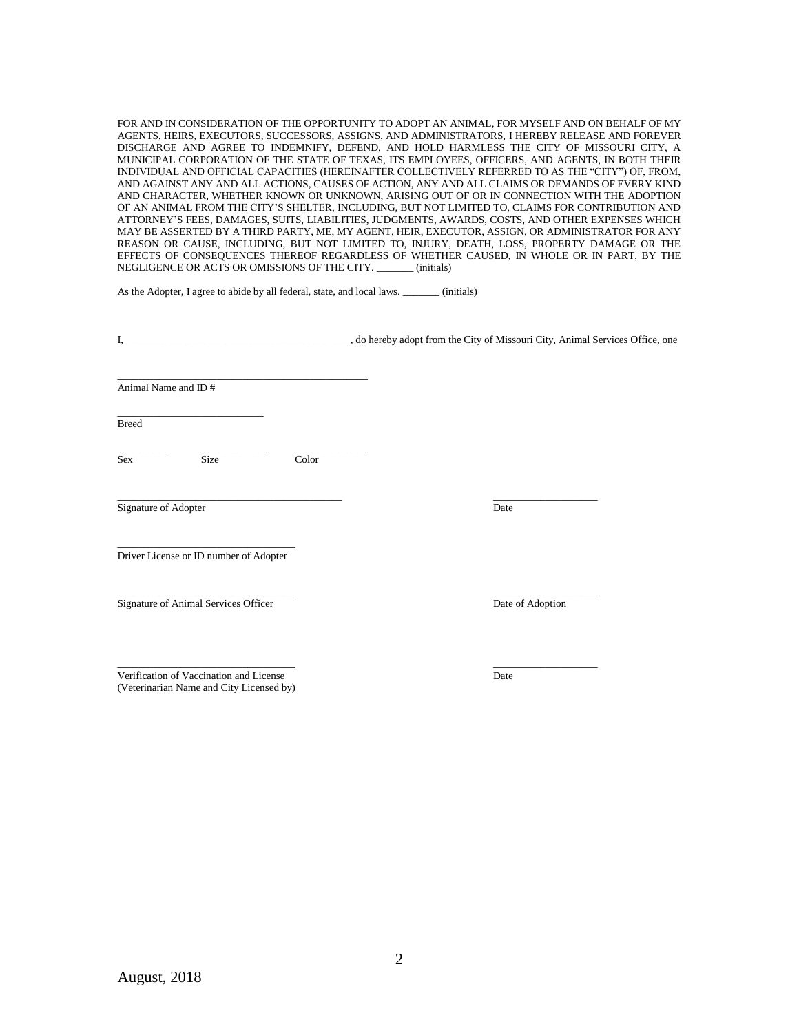FOR AND IN CONSIDERATION OF THE OPPORTUNITY TO ADOPT AN ANIMAL, FOR MYSELF AND ON BEHALF OF MY AGENTS, HEIRS, EXECUTORS, SUCCESSORS, ASSIGNS, AND ADMINISTRATORS, I HEREBY RELEASE AND FOREVER DISCHARGE AND AGREE TO INDEMNIFY, DEFEND, AND HOLD HARMLESS THE CITY OF MISSOURI CITY, A MUNICIPAL CORPORATION OF THE STATE OF TEXAS, ITS EMPLOYEES, OFFICERS, AND AGENTS, IN BOTH THEIR INDIVIDUAL AND OFFICIAL CAPACITIES (HEREINAFTER COLLECTIVELY REFERRED TO AS THE "CITY") OF, FROM, AND AGAINST ANY AND ALL ACTIONS, CAUSES OF ACTION, ANY AND ALL CLAIMS OR DEMANDS OF EVERY KIND AND CHARACTER, WHETHER KNOWN OR UNKNOWN, ARISING OUT OF OR IN CONNECTION WITH THE ADOPTION OF AN ANIMAL FROM THE CITY'S SHELTER, INCLUDING, BUT NOT LIMITED TO, CLAIMS FOR CONTRIBUTION AND ATTORNEY'S FEES, DAMAGES, SUITS, LIABILITIES, JUDGMENTS, AWARDS, COSTS, AND OTHER EXPENSES WHICH MAY BE ASSERTED BY A THIRD PARTY, ME, MY AGENT, HEIR, EXECUTOR, ASSIGN, OR ADMINISTRATOR FOR ANY REASON OR CAUSE, INCLUDING, BUT NOT LIMITED TO, INJURY, DEATH, LOSS, PROPERTY DAMAGE OR THE EFFECTS OF CONSEQUENCES THEREOF REGARDLESS OF WHETHER CAUSED, IN WHOLE OR IN PART, BY THE NEGLIGENCE OR ACTS OR OMISSIONS OF THE CITY. (initials)

As the Adopter, I agree to abide by all federal, state, and local laws. \_\_\_\_\_\_\_ (initials)

| I,                   |                                        |       | o hereby adopt from the City of Missouri City, Animal Services Office, one |
|----------------------|----------------------------------------|-------|----------------------------------------------------------------------------|
|                      | Animal Name and ID#                    |       |                                                                            |
| <b>Breed</b>         |                                        |       |                                                                            |
| Sex                  | Size                                   | Color |                                                                            |
| Signature of Adopter |                                        |       | Date                                                                       |
|                      | Driver License or ID number of Adopter |       |                                                                            |
|                      | Signature of Animal Services Officer   |       | Date of Adoption                                                           |
|                      |                                        |       |                                                                            |

Verification of Vaccination and License Date Date Date (Veterinarian Name and City Licensed by)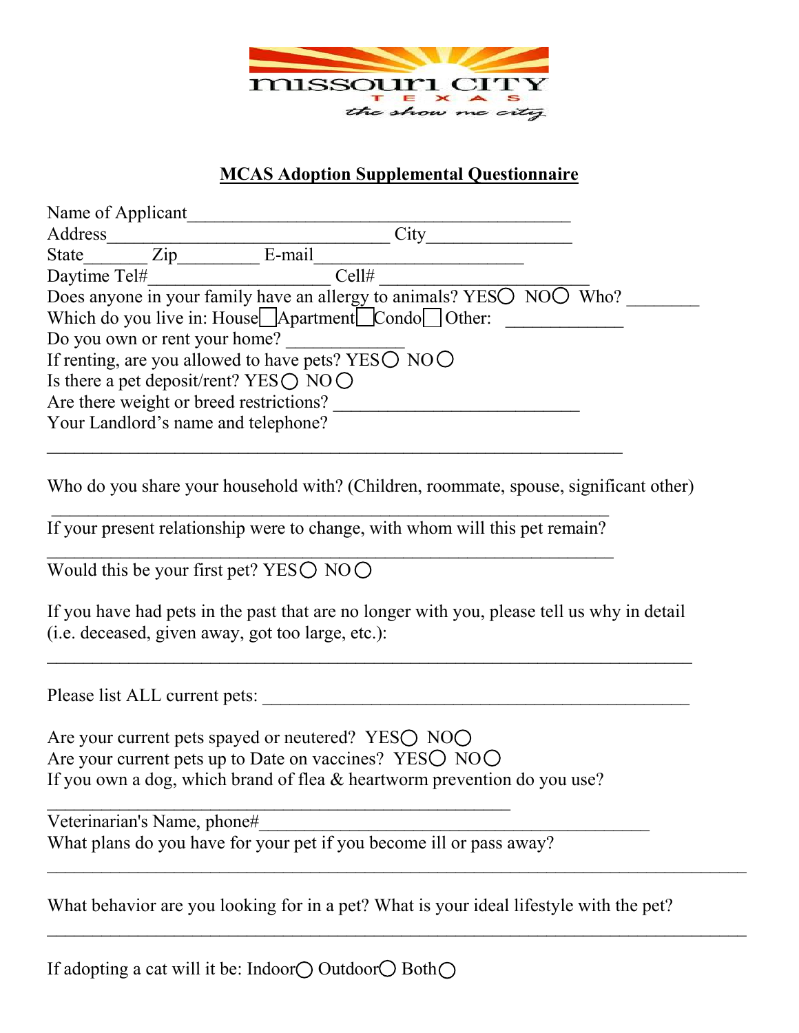

## **MCAS Adoption Supplemental Questionnaire**

| Name of Applicant                                         |                                                                      |  |  |  |
|-----------------------------------------------------------|----------------------------------------------------------------------|--|--|--|
| Address                                                   | City                                                                 |  |  |  |
| $\mathop{\mathrm{Zip}}\nolimits$<br>State                 | E-mail                                                               |  |  |  |
| Daytime Tel#                                              | Cell#                                                                |  |  |  |
|                                                           | Does anyone in your family have an allergy to animals? YESO NOO Who? |  |  |  |
|                                                           | Which do you live in: House□ Apartment□ Condo□ Other:                |  |  |  |
| Do you own or rent your home?                             |                                                                      |  |  |  |
| If renting, are you allowed to have pets? YESO $NOO$      |                                                                      |  |  |  |
| Is there a pet deposit/rent? YES $\bigcirc$ NO $\bigcirc$ |                                                                      |  |  |  |
| Are there weight or breed restrictions?                   |                                                                      |  |  |  |
| Your Landlord's name and telephone?                       |                                                                      |  |  |  |

Who do you share your household with? (Children, roommate, spouse, significant other)

 $\Box$ If your present relationship were to change, with whom will this pet remain?  $\mathcal{L}_\text{max}$  , and the contribution of the contribution of the contribution of the contribution of the contribution of the contribution of the contribution of the contribution of the contribution of the contribution of t

 $\mathcal{L}_\text{max}$  , and the contribution of the contribution of the contribution of the contribution of the contribution of the contribution of the contribution of the contribution of the contribution of the contribution of t

Would this be your first pet? YES $\bigcirc$  NO $\bigcirc$ 

If you have had pets in the past that are no longer with you, please tell us why in detail (i.e. deceased, given away, got too large, etc.):

 $\mathcal{L}_\text{max}$  , and the contract of the contract of the contract of the contract of the contract of the contract of the contract of the contract of the contract of the contract of the contract of the contract of the contr

Please list ALL current pets:

Are your current pets spayed or neutered? YES $\bigcirc$  NO $\bigcirc$ Are your current pets up to Date on vaccines? YESO NOO If you own a dog, which brand of flea & heartworm prevention do you use?

\_\_\_\_\_\_\_\_\_\_\_\_\_\_\_\_\_\_\_\_\_\_\_\_\_\_\_\_\_\_\_\_\_\_\_\_\_\_\_\_\_\_\_\_\_\_\_\_\_\_\_ Veterinarian's Name, phone# What plans do you have for your pet if you become ill or pass away?

What behavior are you looking for in a pet? What is your ideal lifestyle with the pet?

 $\mathcal{L}_\text{max}$  , and the contribution of the contribution of the contribution of the contribution of the contribution of the contribution of the contribution of the contribution of the contribution of the contribution of t

 $\mathcal{L}_\text{max}$  , and the contribution of the contribution of the contribution of the contribution of the contribution of the contribution of the contribution of the contribution of the contribution of the contribution of t

If adopting a cat will it be: Indoor $\bigcirc$  Outdoor $\bigcirc$  Both $\bigcirc$